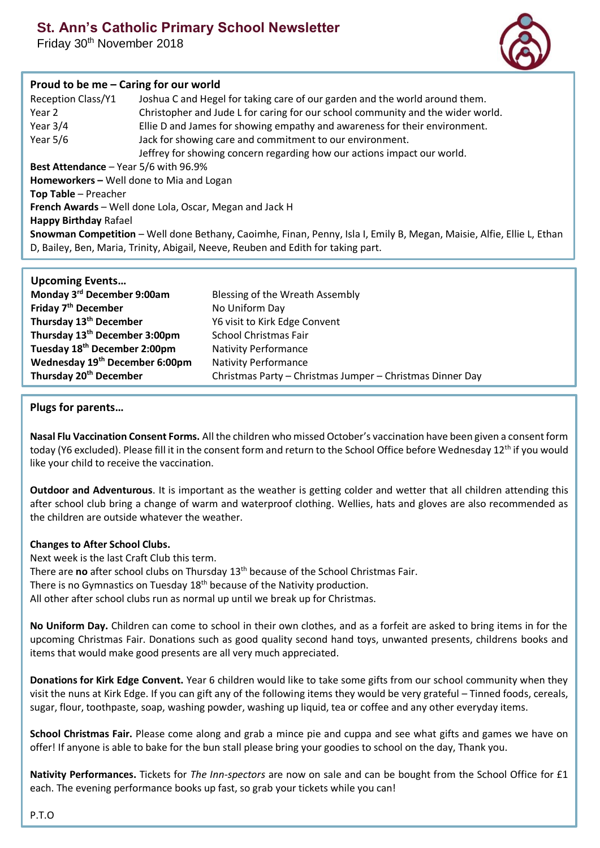# **St. Ann's Catholic Primary School Newsletter**

Friday 30th November 2018



# **Proud to be me – Caring for our world**

| Joshua C and Hegel for taking care of our garden and the world around them.<br>Christopher and Jude L for caring for our school community and the wider world.<br>Ellie D and James for showing empathy and awareness for their environment.<br>Jack for showing care and commitment to our environment.<br>Jeffrey for showing concern regarding how our actions impact our world. |  |  |
|-------------------------------------------------------------------------------------------------------------------------------------------------------------------------------------------------------------------------------------------------------------------------------------------------------------------------------------------------------------------------------------|--|--|
| <b>Best Attendance - Year 5/6 with 96.9%</b>                                                                                                                                                                                                                                                                                                                                        |  |  |
| Homeworkers - Well done to Mia and Logan                                                                                                                                                                                                                                                                                                                                            |  |  |
| Top Table - Preacher                                                                                                                                                                                                                                                                                                                                                                |  |  |
| French Awards - Well done Lola, Oscar, Megan and Jack H                                                                                                                                                                                                                                                                                                                             |  |  |
| <b>Happy Birthday Rafael</b>                                                                                                                                                                                                                                                                                                                                                        |  |  |
| Snowman Competition - Well done Bethany, Caoimhe, Finan, Penny, Isla I, Emily B, Megan, Maisie, Alfie, Ellie L, Ethan<br>D, Bailey, Ben, Maria, Trinity, Abigail, Neeve, Reuben and Edith for taking part.                                                                                                                                                                          |  |  |
|                                                                                                                                                                                                                                                                                                                                                                                     |  |  |

| <b>Upcoming Events</b>                     |                                                           |
|--------------------------------------------|-----------------------------------------------------------|
| Monday 3rd December 9:00am                 | Blessing of the Wreath Assembly                           |
| Friday 7 <sup>th</sup> December            | No Uniform Day                                            |
| Thursday 13 <sup>th</sup> December         | Y6 visit to Kirk Edge Convent                             |
| Thursday 13 <sup>th</sup> December 3:00pm  | <b>School Christmas Fair</b>                              |
| Tuesday 18 <sup>th</sup> December 2:00pm   | <b>Nativity Performance</b>                               |
| Wednesday 19 <sup>th</sup> December 6:00pm | <b>Nativity Performance</b>                               |
| Thursday 20 <sup>th</sup> December         | Christmas Party - Christmas Jumper - Christmas Dinner Day |

## **Plugs for parents…**

**Nasal Flu Vaccination Consent Forms.** All the children who missed October's vaccination have been given a consent form today (Y6 excluded). Please fill it in the consent form and return to the School Office before Wednesday 12<sup>th</sup> if you would like your child to receive the vaccination.

**Outdoor and Adventurous**. It is important as the weather is getting colder and wetter that all children attending this after school club bring a change of warm and waterproof clothing. Wellies, hats and gloves are also recommended as the children are outside whatever the weather.

#### **Changes to After School Clubs.**

Next week is the last Craft Club this term. There are **no** after school clubs on Thursday 13th because of the School Christmas Fair. There is no Gymnastics on Tuesday 18<sup>th</sup> because of the Nativity production. All other after school clubs run as normal up until we break up for Christmas.

**No Uniform Day.** Children can come to school in their own clothes, and as a forfeit are asked to bring items in for the upcoming Christmas Fair. Donations such as good quality second hand toys, unwanted presents, childrens books and items that would make good presents are all very much appreciated.

**Donations for Kirk Edge Convent.** Year 6 children would like to take some gifts from our school community when they visit the nuns at Kirk Edge. If you can gift any of the following items they would be very grateful – Tinned foods, cereals, sugar, flour, toothpaste, soap, washing powder, washing up liquid, tea or coffee and any other everyday items.

**School Christmas Fair.** Please come along and grab a mince pie and cuppa and see what gifts and games we have on offer! If anyone is able to bake for the bun stall please bring your goodies to school on the day, Thank you.

**Nativity Performances.** Tickets for *The Inn-spectors* are now on sale and can be bought from the School Office for £1 each. The evening performance books up fast, so grab your tickets while you can!